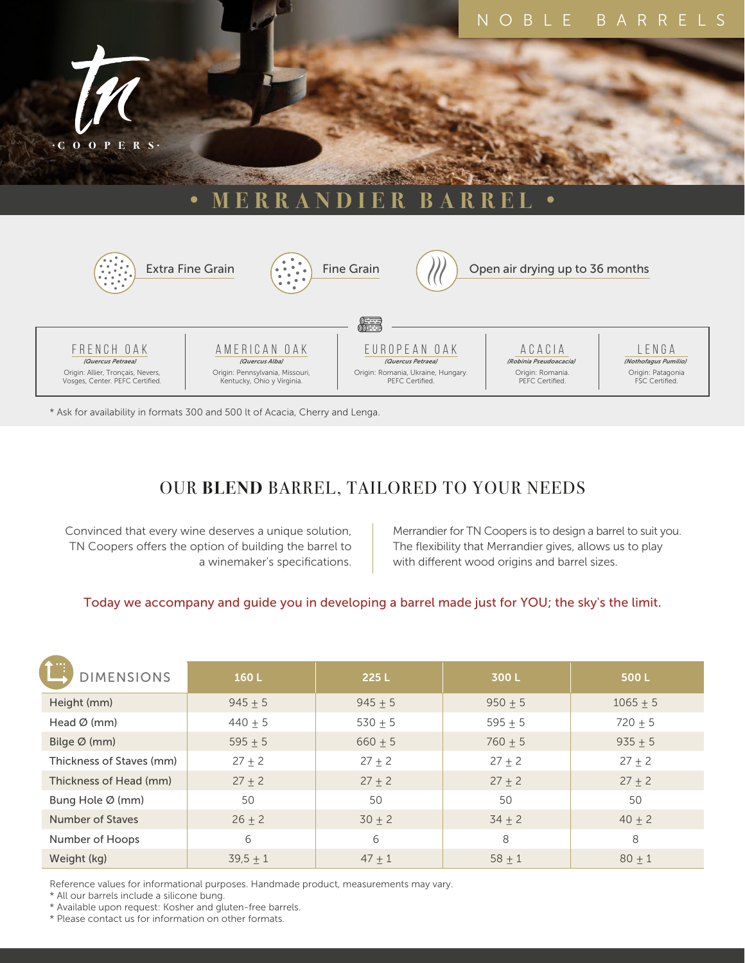



\* Ask for availability in formats 300 and 500 lt of Acacia, Cherry and Lenga.

# OUR **BLEND** BARREL, TAILORED TO YOUR NEEDS

Convinced that every wine deserves a unique solution, TN Coopers offers the option of building the barrel to a winemaker's specifications.

Merrandier for TN Coopers is to design a barrel to suit you. The flexibility that Merrandier gives, allows us to play with different wood origins and barrel sizes.

### Today we accompany and guide you in developing a barrel made just for YOU; the sky's the limit.

| <b>DIMENSIONS</b>        | 160L        | 225L      | 300L       | 500L         |
|--------------------------|-------------|-----------|------------|--------------|
| Height (mm)              | $945 \pm 5$ | $945 + 5$ | $950 + 5$  | $1065 \pm 5$ |
| Head $\varnothing$ (mm)  | $440 + 5$   | $530 + 5$ | $595 + 5$  | $720 + 5$    |
| Bilge $\varnothing$ (mm) | $595 + 5$   | $660 + 5$ | $760 + 5$  | $935 + 5$    |
| Thickness of Staves (mm) | $27 + 2$    | $27 + 2$  | $27 + 2$   | $27 + 2$     |
| Thickness of Head (mm)   | $27 + 2$    | $27 + 2$  | $27 + 2$   | $27 + 2$     |
| Bung Hole Ø (mm)         | 50          | 50        | 50         | 50           |
| <b>Number of Staves</b>  | $26 + 2$    | $30 + 2$  | $34 \pm 2$ | $40 + 2$     |
| Number of Hoops          | 6           | 6         | 8          | 8            |
| Weight (kg)              | $39.5 + 1$  | $47 + 1$  | $58 + 1$   | $80 + 1$     |

Reference values for informational purposes. Handmade product, measurements may vary.

\* All our barrels include a silicone bung.

\* Available upon request: Kosher and gluten-free barrels.

\* Please contact us for information on other formats.